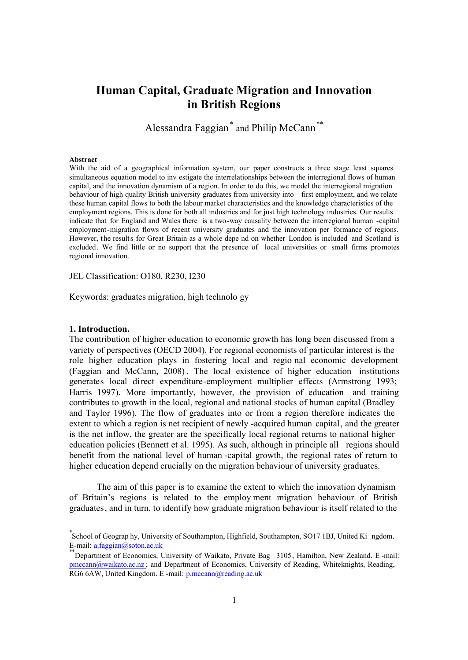# **Human Capital, Graduate Migration and Innovation in British Regions**

Alessandra Faggian<sup>\*</sup> and Philip McCann<sup>\*\*</sup>

#### **Abstract**

With the aid of a geographical information system, our paper constructs a three stage least squares simultaneous equation model to inv estigate the interrelationships between the interregional flows of human capital, and the innovation dynamism of a region. In order to do this, we model the interregional migration behaviour of high quality British university graduates from university into first employment, and we relate these human capital flows to both the labour market characteristics and the knowledge characteristics of the employment regions. This is done for both all industries and for just high technology industries. Our results indicate that for England and Wales there is a two-way causality between the interregional human -capital employment-migration flows of recent university graduates and the innovation per formance of regions. However, the results for Great Britain as a whole depe nd on whether London is included and Scotland is excluded. We find little or no support that the presence of local universities or small firms promotes regional innovation.

JEL Classification: O180, R230, I230

Keywords: graduates migration, high technolo gy

## **1. Introduction.**

-

The contribution of higher education to economic growth has long been discussed from a variety of perspectives (OECD 2004). For regional economists of particular interest is the role higher education plays in fostering local and regio nal economic development (Faggian and McCann, 2008) . The local existence of higher education institutions generates local direct expenditure-employment multiplier effects (Armstrong 1993; Harris 1997). More importantly, however, the provision of education and training contributes to growth in the local, regional and national stocks of human capital (Bradley and Taylor 1996). The flow of graduates into or from a region therefore indicates the extent to which a region is net recipient of newly -acquired human capital, and the greater is the net inflow, the greater are the specifically local regional returns to national higher education policies (Bennett et al. 1995). As such, although in principle all regions should benefit from the national level of human -capital growth, the regional rates of return to higher education depend crucially on the migration behaviour of university graduates.

The aim of this paper is to examine the extent to which the innovation dynamism of Britain's regions is related to the employ ment migration behaviour of British graduates, and in turn, to identify how graduate migration behaviour is itself related to the

<sup>\*</sup> School of Geograp hy, University of Southampton, Highfield, Southampton, SO17 1BJ, United Ki ngdom. E-mail: a.faggian@soton.ac.uk

Department of Economics, University of Waikato, Private Bag 3105, Hamilton, New Zealand. E -mail: pmccann@waikato.ac.nz ; and Department of Economics, University of Reading, Whiteknights, Reading, RG6 6AW, United Kingdom. E -mail: p.mccann@reading.ac.uk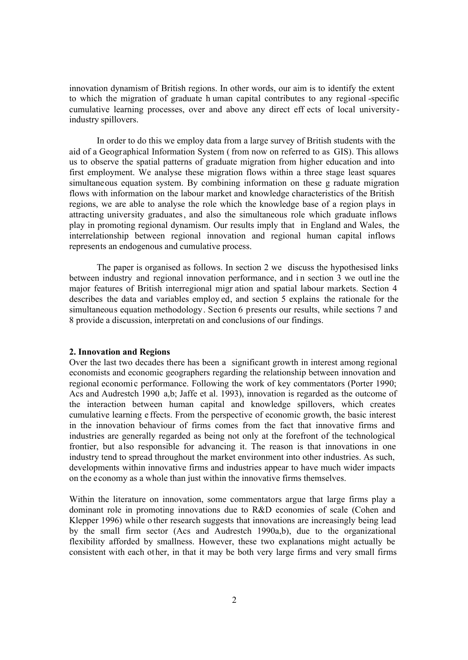innovation dynamism of British regions. In other words, our aim is to identify the extent to which the migration of graduate h uman capital contributes to any regional -specific cumulative learning processes, over and above any direct eff ects of local universityindustry spillovers.

In order to do this we employ data from a large survey of British students with the aid of a Geographical Information System ( from now on referred to as GIS). This allows us to observe the spatial patterns of graduate migration from higher education and into first employment. We analyse these migration flows within a three stage least squares simultaneous equation system. By combining information on these g raduate migration flows with information on the labour market and knowledge characteristics of the British regions, we are able to analyse the role which the knowledge base of a region plays in attracting university graduates, and also the simultaneous role which graduate inflows play in promoting regional dynamism. Our results imply that in England and Wales, the interrelationship between regional innovation and regional human capital inflows represents an endogenous and cumulative process.

The paper is organised as follows. In section 2 we discuss the hypothesised links between industry and regional innovation performance, and in section 3 we outline the major features of British interregional migr ation and spatial labour markets. Section 4 describes the data and variables employ ed, and section 5 explains the rationale for the simultaneous equation methodology. Section 6 presents our results, while sections 7 and 8 provide a discussion, interpretati on and conclusions of our findings.

## **2. Innovation and Regions**

Over the last two decades there has been a significant growth in interest among regional economists and economic geographers regarding the relationship between innovation and regional economic performance. Following the work of key commentators (Porter 1990; Acs and Audrestch 1990 a,b; Jaffe et al. 1993), innovation is regarded as the outcome of the interaction between human capital and knowledge spillovers, which creates cumulative learning e ffects. From the perspective of economic growth, the basic interest in the innovation behaviour of firms comes from the fact that innovative firms and industries are generally regarded as being not only at the forefront of the technological frontier, but also responsible for advancing it. The reason is that innovations in one industry tend to spread throughout the market environment into other industries. As such, developments within innovative firms and industries appear to have much wider impacts on the economy as a whole than just within the innovative firms themselves.

Within the literature on innovation, some commentators argue that large firms play a dominant role in promoting innovations due to R&D economies of scale (Cohen and Klepper 1996) while o ther research suggests that innovations are increasingly being lead by the small firm sector (Acs and Audrestch 1990a,b), due to the organizational flexibility afforded by smallness. However, these two explanations might actually be consistent with each other, in that it may be both very large firms and very small firms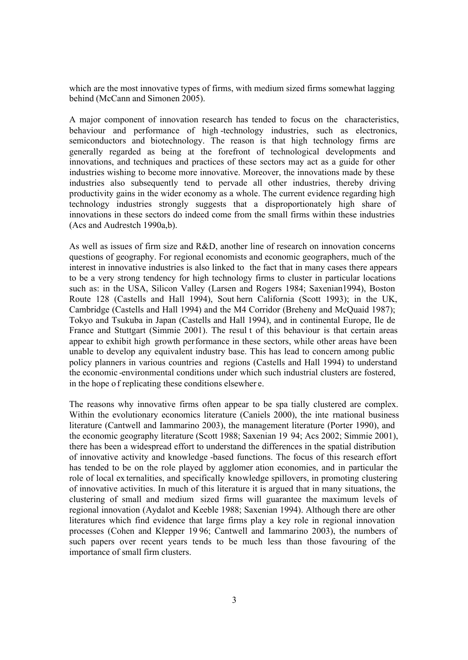which are the most innovative types of firms, with medium sized firms somewhat lagging behind (McCann and Simonen 2005).

A major component of innovation research has tended to focus on the characteristics, behaviour and performance of high -technology industries, such as electronics, semiconductors and biotechnology. The reason is that high technology firms are generally regarded as being at the forefront of technological developments and innovations, and techniques and practices of these sectors may act as a guide for other industries wishing to become more innovative. Moreover, the innovations made by these industries also subsequently tend to pervade all other industries, thereby driving productivity gains in the wider economy as a whole. The current evidence regarding high technology industries strongly suggests that a disproportionately high share of innovations in these sectors do indeed come from the small firms within these industries (Acs and Audrestch 1990a,b).

As well as issues of firm size and R&D, another line of research on innovation concerns questions of geography. For regional economists and economic geographers, much of the interest in innovative industries is also linked to the fact that in many cases there appears to be a very strong tendency for high technology firms to cluster in particular locations such as: in the USA, Silicon Valley (Larsen and Rogers 1984; Saxenian1994), Boston Route 128 (Castells and Hall 1994), Sout hern California (Scott 1993); in the UK, Cambridge (Castells and Hall 1994) and the M4 Corridor (Breheny and McQuaid 1987); Tokyo and Tsukuba in Japan (Castells and Hall 1994), and in continental Europe, Ile de France and Stuttgart (Simmie 2001). The resul t of this behaviour is that certain areas appear to exhibit high growth performance in these sectors, while other areas have been unable to develop any equivalent industry base. This has lead to concern among public policy planners in various countries and regions (Castells and Hall 1994) to understand the economic -environmental conditions under which such industrial clusters are fostered, in the hope o f replicating these conditions elsewher e.

The reasons why innovative firms often appear to be spa tially clustered are complex. Within the evolutionary economics literature (Caniels 2000), the inte rnational business literature (Cantwell and Iammarino 2003), the management literature (Porter 1990), and the economic geography literature (Scott 1988; Saxenian 19 94; Acs 2002; Simmie 2001), there has been a widespread effort to understand the differences in the spatial distribution of innovative activity and knowledge -based functions. The focus of this research effort has tended to be on the role played by agglomer ation economies, and in particular the role of local ex ternalities, and specifically knowledge spillovers, in promoting clustering of innovative activities. In much of this literature it is argued that in many situations, the clustering of small and medium sized firms will guarantee the maximum levels of regional innovation (Aydalot and Keeble 1988; Saxenian 1994). Although there are other literatures which find evidence that large firms play a key role in regional innovation processes (Cohen and Klepper 19 96; Cantwell and Iammarino 2003), the numbers of such papers over recent years tends to be much less than those favouring of the importance of small firm clusters.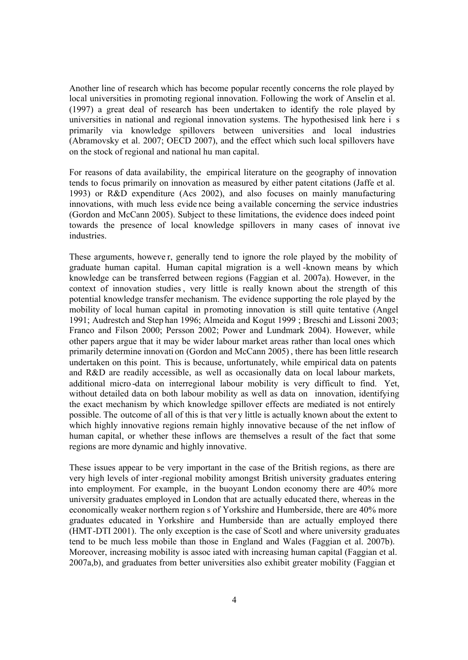Another line of research which has become popular recently concerns the role played by local universities in promoting regional innovation. Following the work of Anselin et al. (1997) a great deal of research has been undertaken to identify the role played by universities in national and regional innovation systems. The hypothesised link here i s primarily via knowledge spillovers between universities and local industries (Abramovsky et al. 2007; OECD 2007), and the effect which such local spillovers have on the stock of regional and national hu man capital.

For reasons of data availability, the empirical literature on the geography of innovation tends to focus primarily on innovation as measured by either patent citations (Jaffe et al. 1993) or R&D expenditure (Acs 2002), and also focuses on mainly manufacturing innovations, with much less evide nce being available concerning the service industries (Gordon and McCann 2005). Subject to these limitations, the evidence does indeed point towards the presence of local knowledge spillovers in many cases of innovat ive industries.

These arguments, howeve r, generally tend to ignore the role played by the mobility of graduate human capital. Human capital migration is a well -known means by which knowledge can be transferred between regions (Faggian et al. 2007a). However, in the context of innovation studies , very little is really known about the strength of this potential knowledge transfer mechanism. The evidence supporting the role played by the mobility of local human capital in promoting innovation is still quite tentative (Angel 1991; Audrestch and Step han 1996; Almeida and Kogut 1999 ; Breschi and Lissoni 2003; Franco and Filson 2000; Persson 2002; Power and Lundmark 2004). However, while other papers argue that it may be wider labour market areas rather than local ones which primarily determine innovati on (Gordon and McCann 2005) , there has been little research undertaken on this point. This is because, unfortunately, while empirical data on patents and R&D are readily accessible, as well as occasionally data on local labour markets, additional micro -data on interregional labour mobility is very difficult to find. Yet, without detailed data on both labour mobility as well as data on innovation, identifying the exact mechanism by which knowledge spillover effects are mediated is not entirely possible. The outcome of all of this is that ver y little is actually known about the extent to which highly innovative regions remain highly innovative because of the net inflow of human capital, or whether these inflows are themselves a result of the fact that some regions are more dynamic and highly innovative.

These issues appear to be very important in the case of the British regions, as there are very high levels of inter -regional mobility amongst British university graduates entering into employment. For example, in the buoyant London economy there are 40% more university graduates employed in London that are actually educated there, whereas in the economically weaker northern region s of Yorkshire and Humberside, there are 40% more graduates educated in Yorkshire and Humberside than are actually employed there (HMT-DTI 2001). The only exception is the case of Scotl and where university graduates tend to be much less mobile than those in England and Wales (Faggian et al. 2007b). Moreover, increasing mobility is assoc iated with increasing human capital (Faggian et al. 2007a,b), and graduates from better universities also exhibit greater mobility (Faggian et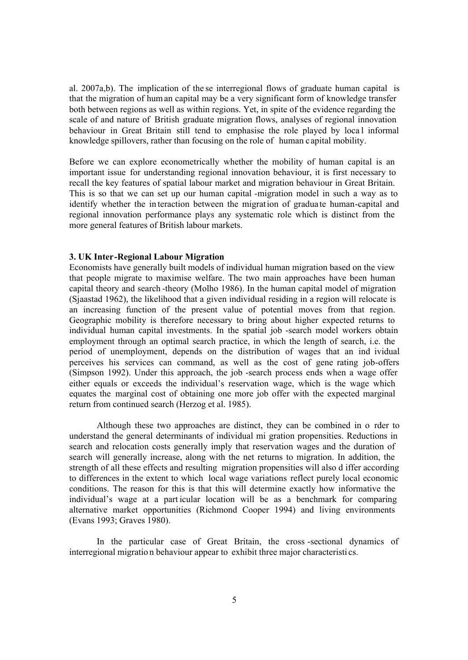al. 2007a,b). The implication of the se interregional flows of graduate human capital is that the migration of human capital may be a very significant form of knowledge transfer both between regions as well as within regions. Yet, in spite of the evidence regarding the scale of and nature of British graduate migration flows, analyses of regional innovation behaviour in Great Britain still tend to emphasise the role played by loca l informal knowledge spillovers, rather than focusing on the role of human c apital mobility.

Before we can explore econometrically whether the mobility of human capital is an important issue for understanding regional innovation behaviour, it is first necessary to recall the key features of spatial labour market and migration behaviour in Great Britain. This is so that we can set up our human capital -migration model in such a way as to identify whether the in teraction between the migration of gradua te human-capital and regional innovation performance plays any systematic role which is distinct from the more general features of British labour markets.

#### **3. UK Inter-Regional Labour Migration**

Economists have generally built models of individual human migration based on the view that people migrate to maximise welfare. The two main approaches have been human capital theory and search -theory (Molho 1986). In the human capital model of migration (Sjaastad 1962), the likelihood that a given individual residing in a region will relocate is an increasing function of the present value of potential moves from that region. Geographic mobility is therefore necessary to bring about higher expected returns to individual human capital investments. In the spatial job -search model workers obtain employment through an optimal search practice, in which the length of search, i.e. the period of unemployment, depends on the distribution of wages that an ind ividual perceives his services can command, as well as the cost of gene rating job-offers (Simpson 1992). Under this approach, the job -search process ends when a wage offer either equals or exceeds the individual's reservation wage, which is the wage which equates the marginal cost of obtaining one more job offer with the expected marginal return from continued search (Herzog et al. 1985).

Although these two approaches are distinct, they can be combined in o rder to understand the general determinants of individual mi gration propensities. Reductions in search and relocation costs generally imply that reservation wages and the duration of search will generally increase, along with the net returns to migration. In addition, the strength of all these effects and resulting migration propensities will also d iffer according to differences in the extent to which local wage variations reflect purely local economic conditions. The reason for this is that this will determine exactly how informative the individual's wage at a part icular location will be as a benchmark for comparing alternative market opportunities (Richmond Cooper 1994) and living environments (Evans 1993; Graves 1980).

In the particular case of Great Britain, the cross -sectional dynamics of interregional migratio n behaviour appear to exhibit three major characteristi cs.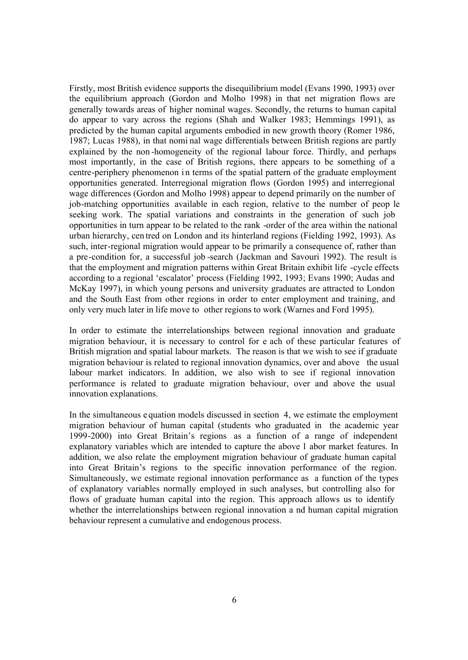Firstly, most British evidence supports the disequilibrium model (Evans 1990, 1993) over the equilibrium approach (Gordon and Molho 1998) in that net migration flows are generally towards areas of higher nominal wages. Secondly, the returns to human capital do appear to vary across the regions (Shah and Walker 1983; Hemmings 1991), as predicted by the human capital arguments embodied in new growth theory (Romer 1986, 1987; Lucas 1988), in that nomi nal wage differentials between British regions are partly explained by the non -homogeneity of the regional labour force. Thirdly, and perhaps most importantly, in the case of British regions, there appears to be something of a centre-periphery phenomenon in terms of the spatial pattern of the graduate employment opportunities generated. Interregional migration flows (Gordon 1995) and interregional wage differences (Gordon and Molho 1998) appear to depend primarily on the number of job-matching opportunities available in each region, relative to the number of peop le seeking work. The spatial variations and constraints in the generation of such job opportunities in turn appear to be related to the rank -order of the area within the national urban hierarchy, cen tred on London and its hinterland regions (Fielding 1992, 1993). As such, inter-regional migration would appear to be primarily a consequence of, rather than a pre-condition for, a successful job -search (Jackman and Savouri 1992). The result is that the employment and migration patterns within Great Britain exhibit life -cycle effects according to a regional 'escalator' process (Fielding 1992, 1993; Evans 1990; Audas and McKay 1997), in which young persons and university graduates are attracted to London and the South East from other regions in order to enter employment and training, and only very much later in life move to other regions to work (Warnes and Ford 1995).

In order to estimate the interrelationships between regional innovation and graduate migration behaviour, it is necessary to control for e ach of these particular features of British migration and spatial labour markets. The reason is that we wish to see if graduate migration behaviour is related to regional innovation dynamics, over and above the usual labour market indicators. In addition, we also wish to see if regional innovation performance is related to graduate migration behaviour, over and above the usual innovation explanations.

In the simultaneous e quation models discussed in section 4, we estimate the employment migration behaviour of human capital (students who graduated in the academic year 1999-2000) into Great Britain's regions as a function of a range of independent explanatory variables which are intended to capture the above l abor market features. In addition, we also relate the employment migration behaviour of graduate human capital into Great Britain's regions to the specific innovation performance of the region. Simultaneously, we estimate regional innovation performance as a function of the types of explanatory variables normally employed in such analyses, but controlling also for flows of graduate human capital into the region. This approach allows us to identify whether the interrelationships between regional innovation a nd human capital migration behaviour represent a cumulative and endogenous process.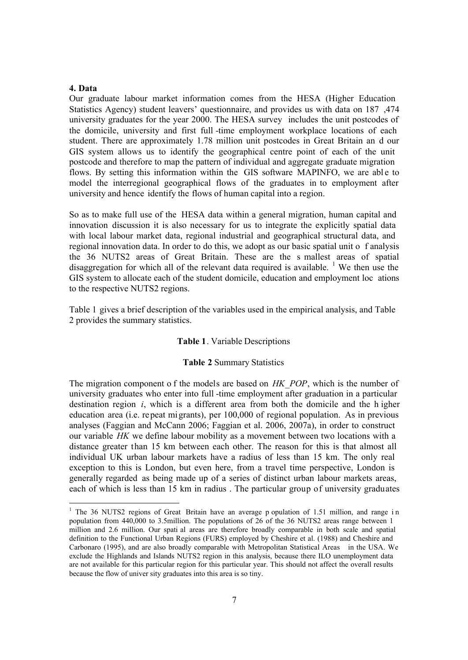## **4. Data**

-

Our graduate labour market information comes from the HESA (Higher Education Statistics Agency) student leavers' questionnaire, and provides us with data on 187 ,474 university graduates for the year 2000. The HESA survey includes the unit postcodes of the domicile, university and first full -time employment workplace locations of each student. There are approximately 1.78 million unit postcodes in Great Britain an d our GIS system allows us to identify the geographical centre point of each of the unit postcode and therefore to map the pattern of individual and aggregate graduate migration flows. By setting this information within the GIS software MAPINFO, we are able to model the interregional geographical flows of the graduates in to employment after university and hence identify the flows of human capital into a region.

So as to make full use of the HESA data within a general migration, human capital and innovation discussion it is also necessary for us to integrate the explicitly spatial data with local labour market data, regional industrial and geographical structural data, and regional innovation data. In order to do this, we adopt as our basic spatial unit o f analysis the 36 NUTS2 areas of Great Britain. These are the s mallest areas of spatial disaggregation for which all of the relevant data required is available. <sup>1</sup> We then use the GIS system to allocate each of the student domicile, education and employment loc ations to the respective NUTS2 regions.

Table 1 gives a brief description of the variables used in the empirical analysis, and Table 2 provides the summary statistics.

#### **Table 1**. Variable Descriptions

#### **Table 2** Summary Statistics

The migration component o f the models are based on *HK\_POP*, which is the number of university graduates who enter into full -time employment after graduation in a particular destination region *i*, which is a different area from both the domicile and the h igher education area (i.e. repeat migrants), per 100,000 of regional population. As in previous analyses (Faggian and McCann 2006; Faggian et al. 2006, 2007a), in order to construct our variable *HK* we define labour mobility as a movement between two locations with a distance greater than 15 km between each other. The reason for this is that almost all individual UK urban labour markets have a radius of less than 15 km. The only real exception to this is London, but even here, from a travel time perspective, London is generally regarded as being made up of a series of distinct urban labour markets areas, each of which is less than 15 km in radius . The particular group of university graduates

<sup>&</sup>lt;sup>1</sup> The 36 NUTS2 regions of Great Britain have an average p opulation of 1.51 million, and range in population from 440,000 to 3.5million. The populations of 26 of the 36 NUTS2 areas range between 1 million and 2.6 million. Our spati al areas are therefore broadly comparable in both scale and spatial definition to the Functional Urban Regions (FURS) employed by Cheshire et al. (1988) and Cheshire and Carbonaro (1995), and are also broadly comparable with Metropolitan Statistical Areas in the USA. We exclude the Highlands and Islands NUTS2 region in this analysis, because there ILO unemployment data are not available for this particular region for this particular year. This should not affect the overall results because the flow of univer sity graduates into this area is so tiny.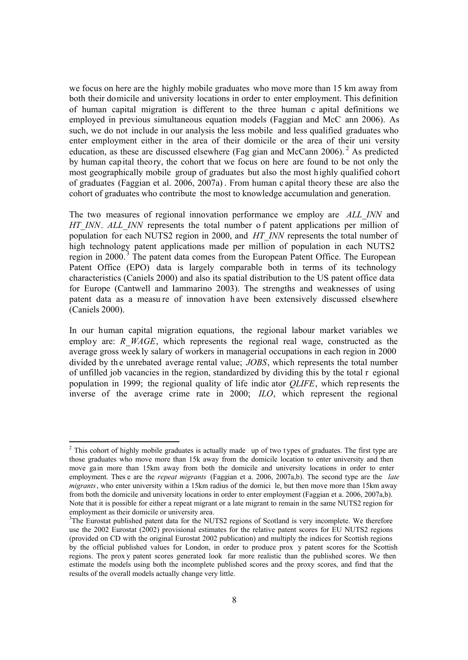we focus on here are the highly mobile graduates who move more than 15 km away from both their domicile and university locations in order to enter employment. This definition of human capital migration is different to the three human c apital definitions we employed in previous simultaneous equation models (Faggian and McC ann 2006). As such, we do not include in our analysis the less mobile and less qualified graduates who enter employment either in the area of their domicile or the area of their uni versity education, as these are discussed elsewhere (Fag gian and McCann 2006).<sup>2</sup> As predicted by human capital theory, the cohort that we focus on here are found to be not only the most geographically mobile group of graduates but also the most highly qualified cohort of graduates (Faggian et al. 2006, 2007a) . From human c apital theory these are also the cohort of graduates who contribute the most to knowledge accumulation and generation.

The two measures of regional innovation performance we employ are *ALL\_INN* and *HT\_INN*. *ALL\_INN* represents the total number o f patent applications per million of population for each NUTS2 region in 2000, and *HT\_INN* represents the total number of high technology patent applications made per million of population in each NUTS2 region in 2000.<sup>3</sup> The patent data comes from the European Patent Office. The European Patent Office (EPO) data is largely comparable both in terms of its technology characteristics (Caniels 2000) and also its spatial distribution to the US patent office data for Europe (Cantwell and Iammarino 2003). The strengths and weaknesses of using patent data as a measu re of innovation h ave been extensively discussed elsewhere (Caniels 2000).

In our human capital migration equations, the regional labour market variables we employ are: *R*<sub>*WAGE*, which represents the regional real wage, constructed as the</sub> average gross week ly salary of workers in managerial occupations in each region in 2000 divided by th e unrebated average rental value; *JOBS*, which represents the total number of unfilled job vacancies in the region, standardized by dividing this by the total r egional population in 1999; the regional quality of life indic ator *QLIFE*, which represents the inverse of the average crime rate in 2000; *ILO*, which represent the regional

<sup>&</sup>lt;sup>2</sup> This cohort of highly mobile graduates is actually made up of two types of graduates. The first type are those graduates who move more than 15k away from the domicile location to enter university and then move gain more than 15km away from both the domicile and university locations in order to enter employment. Thes e are the *repeat migrants* (Faggian et a. 2006, 2007a,b). The second type are the *late migrants*, who enter university within a 15km radius of the domici le, but then move more than 15km away from both the domicile and university locations in order to enter employment (Faggian et a. 2006, 2007a,b). Note that it is possible for either a repeat migrant or a late migrant to remain in the same NUTS2 region for employment as their domicile or university area.

<sup>&</sup>lt;sup>3</sup>The Eurostat published patent data for the NUTS2 regions of Scotland is very incomplete. We therefore use the 2002 Eurostat (2002) provisional estimates for the relative patent scores for EU NUTS2 regions (provided on CD with the original Eurostat 2002 publication) and multiply the indices for Scottish regions by the official published values for London, in order to produce prox y patent scores for the Scottish regions. The prox y patent scores generated look far more realistic than the published scores. We then estimate the models using both the incomplete published scores and the proxy scores, and find that the results of the overall models actually change very little.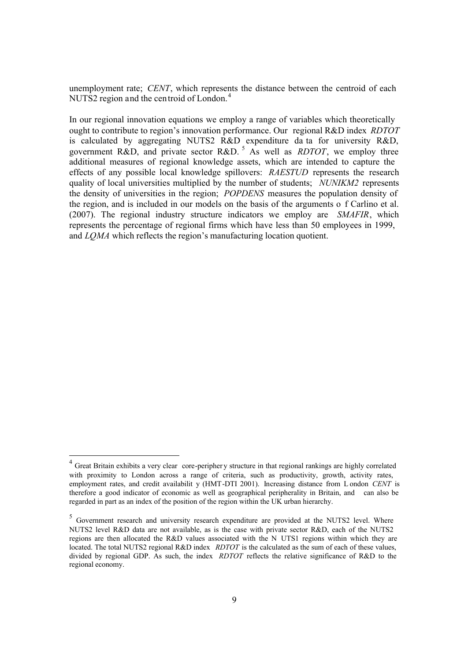unemployment rate; *CENT*, which represents the distance between the centroid of each NUTS2 region and the centroid of London.<sup>4</sup>

In our regional innovation equations we employ a range of variables which theoretically ought to contribute to region's innovation performance. Our regional R&D index *RDTOT* is calculated by aggregating NUTS2 R&D expenditure da ta for university R&D, government R&D, and private sector R&D.<sup>5</sup> As well as *RDTOT*, we employ three additional measures of regional knowledge assets, which are intended to capture the effects of any possible local knowledge spillovers: *RAESTUD* represents the research quality of local universities multiplied by the number of students; *NUNIKM2* represents the density of universities in the region; *POPDENS* measures the population density of the region, and is included in our models on the basis of the arguments o f Carlino et al. (2007). The regional industry structure indicators we employ are *SMAFIR*, which represents the percentage of regional firms which have less than 50 employees in 1999, and *LQMA* which reflects the region's manufacturing location quotient.

-

<sup>&</sup>lt;sup>4</sup> Great Britain exhibits a very clear core-peripher y structure in that regional rankings are highly correlated with proximity to London across a range of criteria, such as productivity, growth, activity rates, employment rates, and credit availabilit y (HMT-DTI 2001). Increasing distance from L ondon *CENT* is therefore a good indicator of economic as well as geographical peripherality in Britain, and can also be regarded in part as an index of the position of the region within the UK urban hierarchy.

<sup>&</sup>lt;sup>5</sup> Government research and university research expenditure are provided at the NUTS2 level. Where NUTS2 level R&D data are not available, as is the case with private sector R&D, each of the NUTS2 regions are then allocated the R&D values associated with the N UTS1 regions within which they are located. The total NUTS2 regional R&D index *RDTOT* is the calculated as the sum of each of these values, divided by regional GDP. As such, the index *RDTOT* reflects the relative significance of R&D to the regional economy.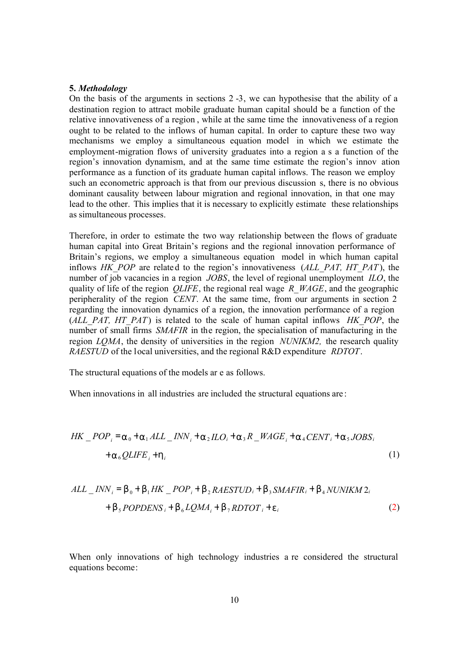### **5.** *Methodology*

On the basis of the arguments in sections 2 -3, we can hypothesise that the ability of a destination region to attract mobile graduate human capital should be a function of the relative innovativeness of a region , while at the same time the innovativeness of a region ought to be related to the inflows of human capital. In order to capture these two way mechanisms we employ a simultaneous equation model in which we estimate the employment-migration flows of university graduates into a region a s a function of the region's innovation dynamism, and at the same time estimate the region's innov ation performance as a function of its graduate human capital inflows. The reason we employ such an econometric approach is that from our previous discussion s, there is no obvious dominant causality between labour migration and regional innovation, in that one may lead to the other. This implies that it is necessary to explicitly estimate these relationships as simultaneous processes.

Therefore, in order to estimate the two way relationship between the flows of graduate human capital into Great Britain's regions and the regional innovation performance of Britain's regions, we employ a simultaneous equation model in which human capital inflows *HK\_POP* are relate d to the region's innovativeness (*ALL\_PAT, HT\_PAT* ), the number of job vacancies in a region *JOBS*, the level of regional unemployment *ILO*, the quality of life of the region *QLIFE*, the regional real wage *R\_WAGE*, and the geographic peripherality of the region *CENT*. At the same time, from our arguments in section 2 regarding the innovation dynamics of a region, the innovation performance of a region (*ALL\_PAT, HT\_PAT*) is related to the scale of human capital inflows *HK\_POP*, the number of small firms *SMAFIR* in the region, the specialisation of manufacturing in the region *LQMA*, the density of universities in the region *NUNIKM2,* the research quality *RAESTUD* of the local universities, and the regional R&D expenditure *RDTOT*.

The structural equations of the models ar e as follows.

When innovations in all industries are included the structural equations are :

$$
HK\_POP_i = a_0 + a_1 ALL\_INN_i + a_2 ILO_i + a_3 R\_WAGE_i + a_4 CENT_i + a_5 JOBS_i
$$
  
+a\_6 QLIFE<sub>i</sub> + h<sub>i</sub> (1)

$$
ALL\_INN_i = b_0 + b_1HK\_POP_i + b_2RAESTUD_i + b_3SMAFIR_i + b_4NUNIKM2_i
$$
  
+ b<sub>5</sub> POPDENS<sub>i</sub> + b<sub>6</sub>LQMA<sub>i</sub> + b<sub>7</sub> RDTOT<sub>i</sub> + e<sub>i</sub> (2)

When only innovations of high technology industries a re considered the structural equations become: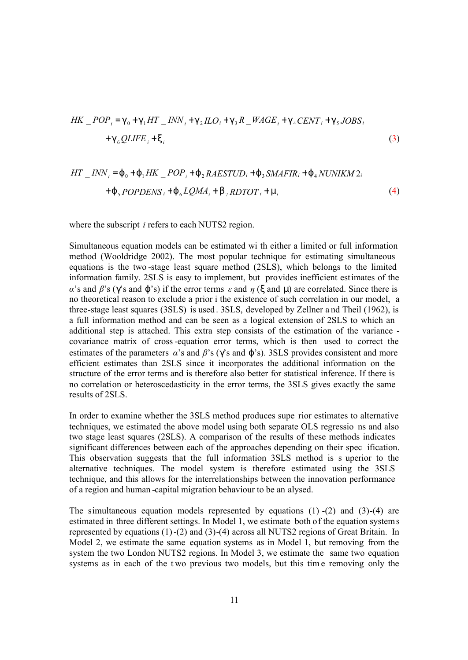$$
HK \tPOP_i = g_0 + g_1 HT \tINN_i + g_2 ILO_i + g_3 R \tINAGE_i + g_4 CENT_i + g_5 JOBS_i
$$
  
+ 
$$
g_6 QLIFE_i + x_i
$$
 (3)

$$
HT \_INV_i = j_0 + j_1HK \_POP_i + j_2RAESTUD_i + j_3SMAFIR_i + j_4NUNIKM 2i
$$
  
+j\_5POPDENS\_i + j\_6LQMA\_i + b\_7RDTOT\_i + m\_i (4)

where the subscript *i* refers to each NUTS2 region.

Simultaneous equation models can be estimated wi th either a limited or full information method (Wooldridge 2002). The most popular technique for estimating simultaneous equations is the two -stage least square method (2SLS), which belongs to the limited information family. 2SLS is easy to implement, but provides inefficient estimates of the *α*'s and *β*'s (*g*'s and *j*'s) if the error terms *ε* and *η* (*x* and *m*) are correlated. Since there is no theoretical reason to exclude a prior i the existence of such correlation in our model, a three-stage least squares (3SLS) is used . 3SLS, developed by Zellner a nd Theil (1962), is a full information method and can be seen as a logical extension of 2SLS to which an additional step is attached. This extra step consists of the estimation of the variance covariance matrix of cross-equation error terms, which is then used to correct the estimates of the parameters *α*'s and *β*'s (*g*'s and *j*'s). 3SLS provides consistent and more efficient estimates than 2SLS since it incorporates the additional information on the structure of the error terms and is therefore also better for statistical inference. If there is no correlation or heteroscedasticity in the error terms, the 3SLS gives exactly the same results of 2SLS.

In order to examine whether the 3SLS method produces supe rior estimates to alternative techniques, we estimated the above model using both separate OLS regressio ns and also two stage least squares (2SLS). A comparison of the results of these methods indicates significant differences between each of the approaches depending on their spec ification. This observation suggests that the full information 3SLS method is s uperior to the alternative techniques. The model system is therefore estimated using the 3SLS technique, and this allows for the interrelationships between the innovation performance of a region and human -capital migration behaviour to be an alysed.

The simultaneous equation models represented by equations  $(1)$  - $(2)$  and  $(3)$ - $(4)$  are estimated in three different settings. In Model 1, we estimate both of the equation systems represented by equations (1)-(2) and (3)-(4) across all NUTS2 regions of Great Britain. In Model 2, we estimate the same equation systems as in Model 1, but removing from the system the two London NUTS2 regions. In Model 3, we estimate the same two equation systems as in each of the t wo previous two models, but this tim e removing only the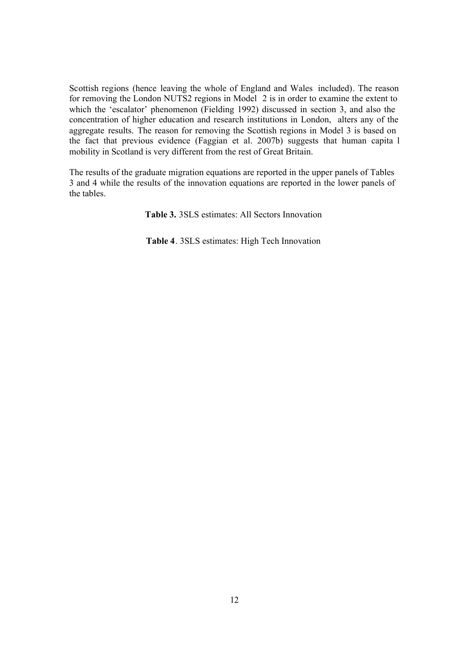Scottish regions (hence leaving the whole of England and Wales included). The reason for removing the London NUTS2 regions in Model 2 is in order to examine the extent to which the 'escalator' phenomenon (Fielding 1992) discussed in section 3, and also the concentration of higher education and research institutions in London, alters any of the aggregate results. The reason for removing the Scottish regions in Model 3 is based on the fact that previous evidence (Faggian et al. 2007b) suggests that human capita l mobility in Scotland is very different from the rest of Great Britain.

The results of the graduate migration equations are reported in the upper panels of Tables 3 and 4 while the results of the innovation equations are reported in the lower panels of the tables.

**Table 3.** 3SLS estimates: All Sectors Innovation

**Table 4**. 3SLS estimates: High Tech Innovation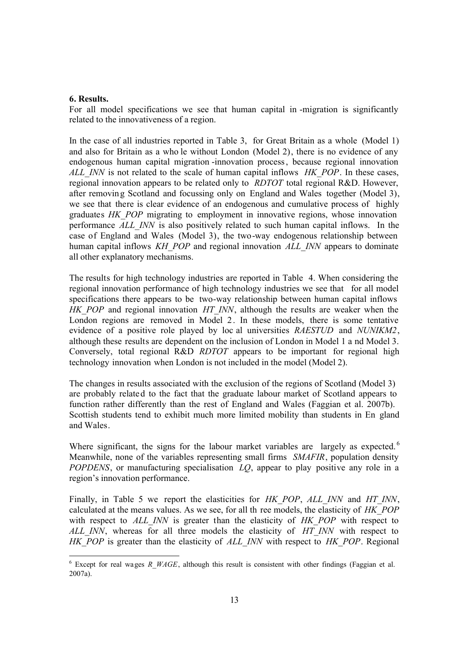## **6. Results.**

For all model specifications we see that human capital in -migration is significantly related to the innovativeness of a region.

In the case of all industries reported in Table 3, for Great Britain as a whole (Model 1) and also for Britain as a who le without London (Model 2), there is no evidence of any endogenous human capital migration -innovation process, because regional innovation *ALL\_INN* is not related to the scale of human capital inflows *HK\_POP*. In these cases, regional innovation appears to be related only to *RDTOT* total regional R&D. However, after removin g Scotland and focussing only on England and Wales together (Model 3), we see that there is clear evidence of an endogenous and cumulative process of highly graduates *HK\_POP* migrating to employment in innovative regions, whose innovation performance *ALL\_INN* is also positively related to such human capital inflows. In the case of England and Wales (Model 3), the two-way endogenous relationship between human capital inflows *KH\_POP* and regional innovation *ALL\_INN* appears to dominate all other explanatory mechanisms.

The results for high technology industries are reported in Table 4. When considering the regional innovation performance of high technology industries we see that for all model specifications there appears to be two-way relationship between human capital inflows *HK\_POP* and regional innovation *HT\_INN*, although the results are weaker when the London regions are removed in Model 2. In these models, there is some tentative evidence of a positive role played by loc al universities *RAESTUD* and *NUNIKM2*, although these results are dependent on the inclusion of London in Model 1 a nd Model 3. Conversely, total regional R&D *RDTOT* appears to be important for regional high technology innovation when London is not included in the model (Model 2).

The changes in results associated with the exclusion of the regions of Scotland (Model 3) are probably related to the fact that the graduate labour market of Scotland appears to function rather differently than the rest of England and Wales (Faggian et al. 2007b). Scottish students tend to exhibit much more limited mobility than students in En gland and Wales.

Where significant, the signs for the labour market variables are largely as expected.<sup>6</sup> Meanwhile, none of the variables representing small firms *SMAFIR*, population density *POPDENS*, or manufacturing specialisation *LQ*, appear to play positive any role in a region's innovation performance.

Finally, in Table 5 we report the elasticities for *HK\_POP*, *ALL\_INN* and *HT\_INN*, calculated at the means values. As we see, for all th ree models, the elasticity of *HK\_POP*  with respect to *ALL INN* is greater than the elasticity of *HK POP* with respect to *ALL\_INN*, whereas for all three models the elasticity of *HT\_INN* with respect to *HK\_POP* is greater than the elasticity of *ALL\_INN* with respect to *HK\_POP*. Regional

Except for real wages *R\_WAGE*, although this result is consistent with other findings (Faggian et al. 2007a).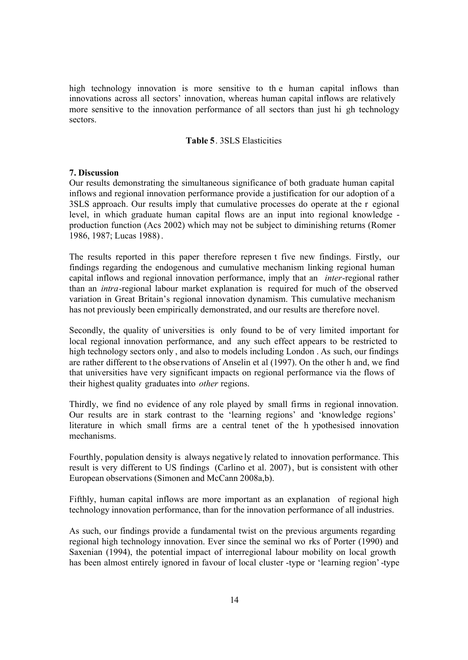high technology innovation is more sensitive to th e human capital inflows than innovations across all sectors' innovation, whereas human capital inflows are relatively more sensitive to the innovation performance of all sectors than just hi gh technology sectors.

## **Table 5**. 3SLS Elasticities

#### **7. Discussion**

Our results demonstrating the simultaneous significance of both graduate human capital inflows and regional innovation performance provide a justification for our adoption of a 3SLS approach. Our results imply that cumulative processes do operate at the r egional level, in which graduate human capital flows are an input into regional knowledge production function (Acs 2002) which may not be subject to diminishing returns (Romer 1986, 1987; Lucas 1988).

The results reported in this paper therefore represen t five new findings. Firstly, our findings regarding the endogenous and cumulative mechanism linking regional human capital inflows and regional innovation performance, imply that an *inter-*regional rather than an *intra-*regional labour market explanation is required for much of the observed variation in Great Britain's regional innovation dynamism. This cumulative mechanism has not previously been empirically demonstrated, and our results are therefore novel.

Secondly, the quality of universities is only found to be of very limited important for local regional innovation performance, and any such effect appears to be restricted to high technology sectors only , and also to models including London . As such, our findings are rather different to t he observations of Anselin et al (1997). On the other h and, we find that universities have very significant impacts on regional performance via the flows of their highest quality graduates into *other* regions.

Thirdly, we find no evidence of any role played by small firms in regional innovation. Our results are in stark contrast to the 'learning regions' and 'knowledge regions' literature in which small firms are a central tenet of the h ypothesised innovation mechanisms.

Fourthly, population density is always negative ly related to innovation performance. This result is very different to US findings (Carlino et al. 2007), but is consistent with other European observations (Simonen and McCann 2008a,b).

Fifthly, human capital inflows are more important as an explanation of regional high technology innovation performance, than for the innovation performance of all industries.

As such, our findings provide a fundamental twist on the previous arguments regarding regional high technology innovation. Ever since the seminal wo rks of Porter (1990) and Saxenian (1994), the potential impact of interregional labour mobility on local growth has been almost entirely ignored in favour of local cluster -type or 'learning region'-type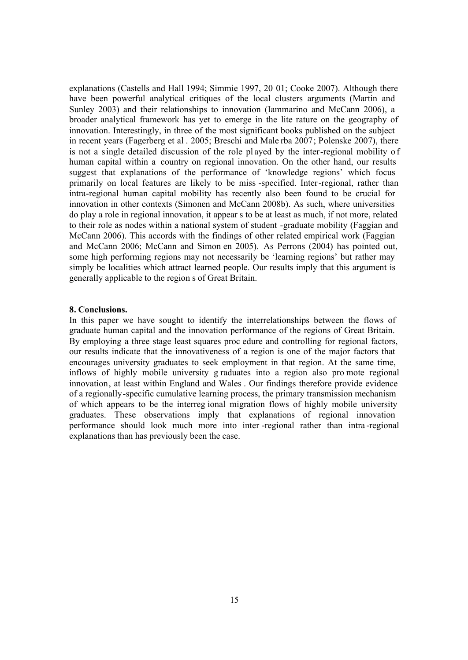explanations (Castells and Hall 1994; Simmie 1997, 20 01; Cooke 2007). Although there have been powerful analytical critiques of the local clusters arguments (Martin and Sunley 2003) and their relationships to innovation (Iammarino and McCann 2006), a broader analytical framework has yet to emerge in the lite rature on the geography of innovation. Interestingly, in three of the most significant books published on the subject in recent years (Fagerberg et al . 2005; Breschi and Male rba 2007; Polenske 2007), there is not a single detailed discussion of the role played by the inter-regional mobility of human capital within a country on regional innovation. On the other hand, our results suggest that explanations of the performance of 'knowledge regions' which focus primarily on local features are likely to be miss -specified. Inter-regional, rather than intra-regional human capital mobility has recently also been found to be crucial for innovation in other contexts (Simonen and McCann 2008b). As such, where universities do play a role in regional innovation, it appear s to be at least as much, if not more, related to their role as nodes within a national system of student -graduate mobility (Faggian and McCann 2006). This accords with the findings of other related empirical work (Faggian and McCann 2006; McCann and Simon en 2005). As Perrons (2004) has pointed out, some high performing regions may not necessarily be 'learning regions' but rather may simply be localities which attract learned people. Our results imply that this argument is generally applicable to the region s of Great Britain.

#### **8. Conclusions.**

In this paper we have sought to identify the interrelationships between the flows of graduate human capital and the innovation performance of the regions of Great Britain. By employing a three stage least squares proc edure and controlling for regional factors, our results indicate that the innovativeness of a region is one of the major factors that encourages university graduates to seek employment in that region. At the same time, inflows of highly mobile university g raduates into a region also pro mote regional innovation, at least within England and Wales . Our findings therefore provide evidence of a regionally-specific cumulative learning process, the primary transmission mechanism of which appears to be the interreg ional migration flows of highly mobile university graduates. These observations imply that explanations of regional innovation performance should look much more into inter -regional rather than intra -regional explanations than has previously been the case.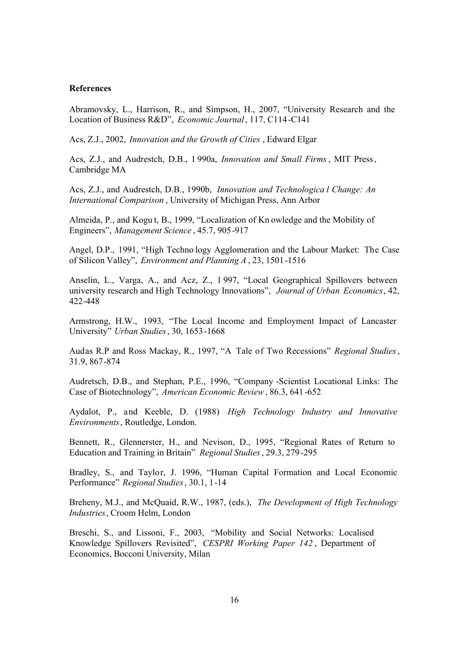### **References**

Abramovsky, L., Harrison, R., and Simpson, H., 2007, "University Research and the Location of Business R&D", *Economic Journal*, 117, C114-C141

Acs, Z.J., 2002, *Innovation and the Growth of Cities* , Edward Elgar

Acs, Z.J., and Audrestch, D.B., 1 990a, *Innovation and Small Firms*, MIT Press, Cambridge MA

Acs, Z.J., and Audrestch, D.B., 1990b, *Innovation and Technologica l Change: An International Comparison* , University of Michigan Press, Ann Arbor

Almeida, P., and Kogu t, B., 1999, "Localization of Kn owledge and the Mobility of Engineers", *Management Science* , 45.7, 905-917

Angel, D.P., 1991, "High Techno logy Agglomeration and the Labour Market: The Case of Silicon Valley", *Environment and Planning A* , 23, 1501-1516

Anselin, L., Varga, A., and Acz, Z., 1 997, "Local Geographical Spillovers between university research and High Technology Innovations", *Journal of Urban Economics*, 42, 422-448

Armstrong, H.W., 1993, "The Local Income and Employment Impact of Lancaster University" *Urban Studies*, 30, 1653-1668

Audas R.P and Ross Mackay, R., 1997, "A Tale of Two Recessions" *Regional Studies*, 31.9, 867-874

Audretsch, D.B., and Stephan, P.E., 1996, "Company -Scientist Locational Links: The Case of Biotechnology", *American Economic Review*, 86.3, 641-652

Aydalot, P., and Keeble, D. (1988) *High Technology Industry and Innovative Environments*, Routledge, London.

Bennett, R., Glennerster, H., and Nevison, D., 1995, "Regional Rates of Return to Education and Training in Britain" *Regional Studies*, 29.3, 279-295

Bradley, S., and Taylor, J. 1996, "Human Capital Formation and Local Economic Performance" *Regional Studies*, 30.1, 1-14

Breheny, M.J., and McQuaid, R.W., 1987, (eds.), *The Development of High Technology Industries*, Croom Helm, London

Breschi, S., and Lissoni, F., 2003, "Mobility and Social Networks: Localised Knowledge Spillovers Revisited", *CESPRI Working Paper 142* , Department of Economics, Bocconi University, Milan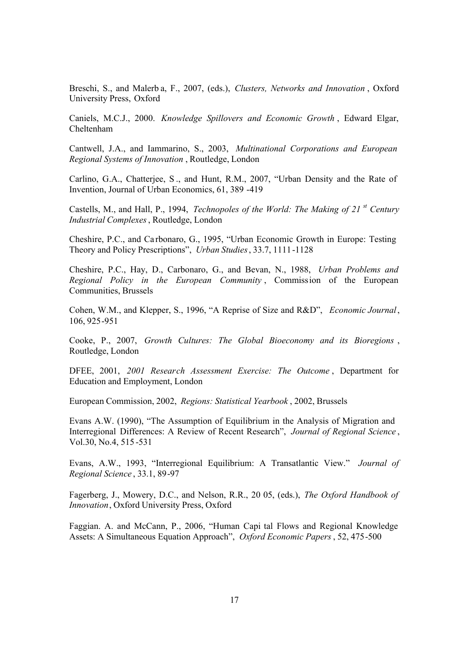Breschi, S., and Malerb a, F., 2007, (eds.), *Clusters, Networks and Innovation* , Oxford University Press, Oxford

Caniels, M.C.J., 2000. *Knowledge Spillovers and Economic Growth* , Edward Elgar, Cheltenham

Cantwell, J.A., and Iammarino, S., 2003, *Multinational Corporations and European Regional Systems of Innovation* , Routledge, London

Carlino, G.A., Chatterjee, S ., and Hunt, R.M., 2007, "Urban Density and the Rate of Invention, Journal of Urban Economics, 61, 389 -419

Castells, M., and Hall, P., 1994, *Technopoles of the World: The Making of 21 st Century Industrial Complexes*, Routledge, London

Cheshire, P.C., and Ca rbonaro, G., 1995, "Urban Economic Growth in Europe: Testing Theory and Policy Prescriptions", *Urban Studies*, 33.7, 1111-1128

Cheshire, P.C., Hay, D., Carbonaro, G., and Bevan, N., 1988, *Urban Problems and Regional Policy in the European Community* , Commission of the European Communities, Brussels

Cohen, W.M., and Klepper, S., 1996, "A Reprise of Size and R&D", *Economic Journal*, 106, 925-951

Cooke, P., 2007, *Growth Cultures: The Global Bioeconomy and its Bioregions* , Routledge, London

DFEE, 2001, *2001 Research Assessment Exercise: The Outcome* , Department for Education and Employment, London

European Commission, 2002, *Regions: Statistical Yearbook* , 2002, Brussels

Evans A.W. (1990), "The Assumption of Equilibrium in the Analysis of Migration and Interregional Differences: A Review of Recent Research", *Journal of Regional Science* , Vol.30, No.4, 515 -531

Evans, A.W., 1993, "Interregional Equilibrium: A Transatlantic View." *Journal of Regional Science* , 33.1, 89-97

Fagerberg, J., Mowery, D.C., and Nelson, R.R., 20 05, (eds.), *The Oxford Handbook of Innovation*, Oxford University Press, Oxford

Faggian. A. and McCann, P., 2006, "Human Capi tal Flows and Regional Knowledge Assets: A Simultaneous Equation Approach", *Oxford Economic Papers*, 52, 475-500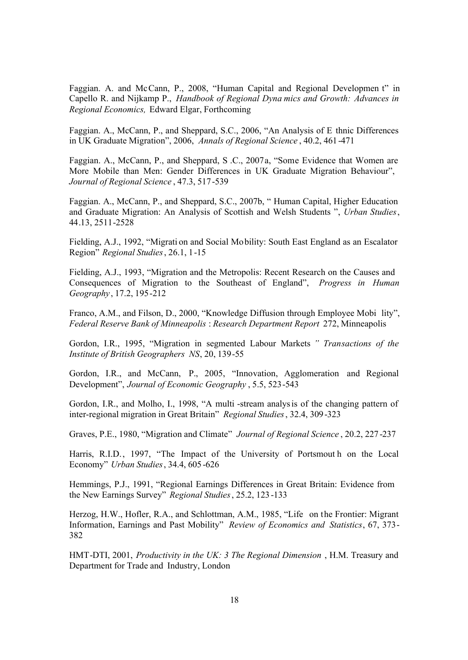Faggian. A. and McCann, P., 2008, "Human Capital and Regional Developmen t" in Capello R. and Nijkamp P., *Handbook of Regional Dyna mics and Growth: Advances in Regional Economics,* Edward Elgar, Forthcoming

Faggian. A., McCann, P., and Sheppard, S.C., 2006, "An Analysis of E thnic Differences in UK Graduate Migration", 2006, *Annals of Regional Science* , 40.2, 461-471

Faggian. A., McCann, P., and Sheppard, S .C., 2007a, "Some Evidence that Women are More Mobile than Men: Gender Differences in UK Graduate Migration Behaviour", *Journal of Regional Science* , 47.3, 517-539

Faggian. A., McCann, P., and Sheppard, S.C., 2007b, " Human Capital, Higher Education and Graduate Migration: An Analysis of Scottish and Welsh Students ", *Urban Studies*, 44.13, 2511-2528

Fielding, A.J., 1992, "Migrati on and Social Mobility: South East England as an Escalator Region" *Regional Studies*, 26.1, 1-15

Fielding, A.J., 1993, "Migration and the Metropolis: Recent Research on the Causes and Consequences of Migration to the Southeast of England", *Progress in Human Geography*, 17.2, 195-212

Franco, A.M., and Filson, D., 2000, "Knowledge Diffusion through Employee Mobi lity", *Federal Reserve Bank of Minneapolis* : *Research Department Report* 272, Minneapolis

Gordon, I.R., 1995, "Migration in segmented Labour Markets *" Transactions of the Institute of British Geographers NS*, 20, 139-55

Gordon, I.R., and McCann, P., 2005, "Innovation, Agglomeration and Regional Development", *Journal of Economic Geography* , 5.5, 523-543

Gordon, I.R., and Molho, I., 1998, "A multi -stream analysis of the changing pattern of inter-regional migration in Great Britain" *Regional Studies*, 32.4, 309-323

Graves, P.E., 1980, "Migration and Climate" *Journal of Regional Science* , 20.2, 227 -237

Harris, R.I.D., 1997, "The Impact of the University of Portsmout h on the Local Economy" *Urban Studies*, 34.4, 605 -626

Hemmings, P.J., 1991, "Regional Earnings Differences in Great Britain: Evidence from the New Earnings Survey" *Regional Studies*, 25.2, 123 -133

Herzog, H.W., Hofler, R.A., and Schlottman, A.M., 1985, "Life on the Frontier: Migrant Information, Earnings and Past Mobility" *Review of Economics and Statistics*, 67, 373- 382

HMT-DTI, 2001, *Productivity in the UK: 3 The Regional Dimension* , H.M. Treasury and Department for Trade and Industry, London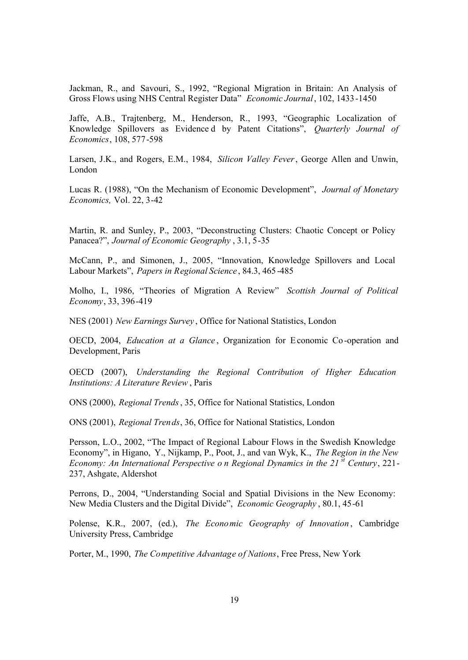Jackman, R., and Savouri, S., 1992, "Regional Migration in Britain: An Analysis of Gross Flows using NHS Central Register Data" *Economic Journal*, 102, 1433-1450

Jaffe, A.B., Trajtenberg, M., Henderson, R., 1993, "Geographic Localization of Knowledge Spillovers as Evidence d by Patent Citations", *Quarterly Journal of Economics*, 108, 577-598

Larsen, J.K., and Rogers, E.M., 1984, *Silicon Valley Fever*, George Allen and Unwin, London

Lucas R. (1988), "On the Mechanism of Economic Development", *Journal of Monetary Economics,* Vol. 22, 3-42

Martin, R. and Sunley, P., 2003, "Deconstructing Clusters: Chaotic Concept or Policy Panacea?", *Journal of Economic Geography* , 3.1, 5-35

McCann, P., and Simonen, J., 2005, "Innovation, Knowledge Spillovers and Local Labour Markets", *Papers in Regional Science* , 84.3, 465 -485

Molho, I., 1986, "Theories of Migration A Review" *Scottish Journal of Political Economy*, 33, 396-419

NES (2001) *New Earnings Survey* , Office for National Statistics, London

OECD, 2004, *Education at a Glance* , Organization for Economic Co-operation and Development, Paris

OECD (2007), *Understanding the Regional Contribution of Higher Education Institutions: A Literature Review* , Paris

ONS (2000), *Regional Trends*, 35, Office for National Statistics, London

ONS (2001), *Regional Trends*, 36, Office for National Statistics, London

Persson, L.O., 2002, "The Impact of Regional Labour Flows in the Swedish Knowledge Economy", in Higano, Y., Nijkamp, P., Poot, J., and van Wyk, K., *The Region in the New Economy: An International Perspective o n Regional Dynamics in the 21 st Century*, 221- 237, Ashgate, Aldershot

Perrons, D., 2004, "Understanding Social and Spatial Divisions in the New Economy: New Media Clusters and the Digital Divide", *Economic Geography* , 80.1, 45-61

Polense, K.R., 2007, (ed.), *The Economic Geography of Innovation* , Cambridge University Press, Cambridge

Porter, M., 1990, *The Competitive Advantage of Nations*, Free Press, New York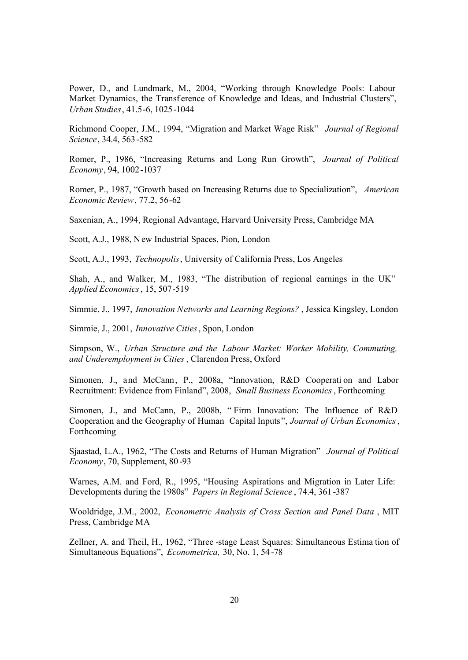Power, D., and Lundmark, M., 2004, "Working through Knowledge Pools: Labour Market Dynamics, the Transf erence of Knowledge and Ideas, and Industrial Clusters", *Urban Studies*, 41.5-6, 1025-1044

Richmond Cooper, J.M., 1994, "Migration and Market Wage Risk" *Journal of Regional Science*, 34.4, 563-582

Romer, P., 1986, "Increasing Returns and Long Run Growth", *Journal of Political Economy*, 94, 1002-1037

Romer, P., 1987, "Growth based on Increasing Returns due to Specialization", *American Economic Review*, 77.2, 56-62

Saxenian, A., 1994, Regional Advantage, Harvard University Press, Cambridge MA

Scott, A.J., 1988, New Industrial Spaces, Pion, London

Scott, A.J., 1993, *Technopolis*, University of California Press, Los Angeles

Shah, A., and Walker, M., 1983, "The distribution of regional earnings in the UK" *Applied Economics*, 15, 507-519

Simmie, J., 1997, *Innovation Networks and Learning Regions?* , Jessica Kingsley, London

Simmie, J., 2001, *Innovative Cities*, Spon, London

Simpson, W., *Urban Structure and the Labour Market: Worker Mobility, Commuting, and Underemployment in Cities* , Clarendon Press, Oxford

Simonen, J., and McCann, P., 2008a, "Innovation, R&D Cooperati on and Labor Recruitment: Evidence from Finland", 2008, *Small Business Economics*, Forthcoming

Simonen, J., and McCann, P., 2008b, " Firm Innovation: The Influence of R&D Cooperation and the Geography of Human Capital Inputs ", *Journal of Urban Economics*, Forthcoming

Sjaastad, L.A., 1962, "The Costs and Returns of Human Migration" *Journal of Political Economy*, 70, Supplement, 80 -93

Warnes, A.M. and Ford, R., 1995, "Housing Aspirations and Migration in Later Life: Developments during the 1980s" *Papers in Regional Science* , 74.4, 361 -387

Wooldridge, J.M., 2002, *Econometric Analysis of Cross Section and Panel Data* , MIT Press, Cambridge MA

Zellner, A. and Theil, H., 1962, "Three -stage Least Squares: Simultaneous Estima tion of Simultaneous Equations", *Econometrica,* 30, No. 1, 54 -78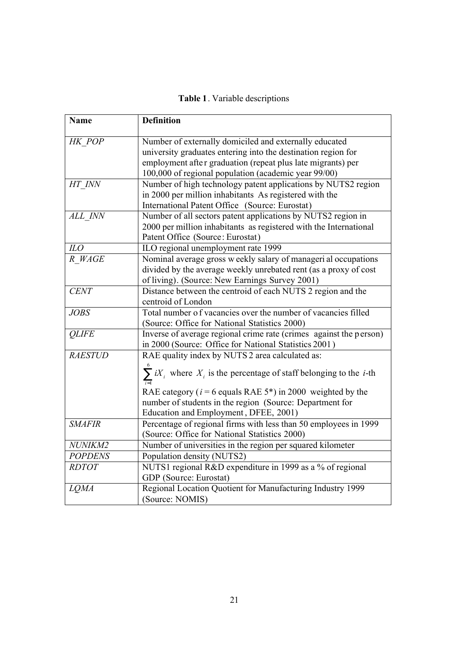|  |  | Table 1. Variable descriptions |
|--|--|--------------------------------|
|--|--|--------------------------------|

| <b>Name</b>    | <b>Definition</b>                                                                          |
|----------------|--------------------------------------------------------------------------------------------|
|                |                                                                                            |
| HK POP         | Number of externally domiciled and externally educated                                     |
|                | university graduates entering into the destination region for                              |
|                | employment after graduation (repeat plus late migrants) per                                |
|                | 100,000 of regional population (academic year 99/00)                                       |
| HT INN         | Number of high technology patent applications by NUTS2 region                              |
|                | in 2000 per million inhabitants As registered with the                                     |
|                | International Patent Office (Source: Eurostat)                                             |
| ALL INN        | Number of all sectors patent applications by NUTS2 region in                               |
|                | 2000 per million inhabitants as registered with the International                          |
|                | Patent Office (Source: Eurostat)                                                           |
| ILO            | ILO regional unemployment rate 1999                                                        |
| R WAGE         | Nominal average gross weekly salary of manageri al occupations                             |
|                | divided by the average weekly unrebated rent (as a proxy of cost                           |
|                | of living). (Source: New Earnings Survey 2001)                                             |
| <b>CENT</b>    | Distance between the centroid of each NUTS 2 region and the                                |
|                | centroid of London                                                                         |
| <b>JOBS</b>    | Total number of vacancies over the number of vacancies filled                              |
|                | (Source: Office for National Statistics 2000)                                              |
| <b>QLIFE</b>   | Inverse of average regional crime rate (crimes against the person)                         |
|                | in 2000 (Source: Office for National Statistics 2001)                                      |
| <b>RAESTUD</b> | RAE quality index by NUTS 2 area calculated as:                                            |
|                | $\sum_{i=1}^{6} iX_i$ where $X_i$ is the percentage of staff belonging to the <i>i</i> -th |
|                |                                                                                            |
|                | RAE category ( $i = 6$ equals RAE 5 <sup>*</sup> ) in 2000 weighted by the                 |
|                | number of students in the region (Source: Department for                                   |
|                | Education and Employment, DFEE, 2001)                                                      |
| <b>SMAFIR</b>  | Percentage of regional firms with less than 50 employees in 1999                           |
|                | (Source: Office for National Statistics 2000)                                              |
| NUNIKM2        | Number of universities in the region per squared kilometer                                 |
| <b>POPDENS</b> | Population density (NUTS2)                                                                 |
| <b>RDTOT</b>   | NUTS1 regional R&D expenditure in 1999 as a % of regional                                  |
|                | GDP (Source: Eurostat)                                                                     |
| <b>LOMA</b>    | Regional Location Quotient for Manufacturing Industry 1999                                 |
|                | (Source: NOMIS)                                                                            |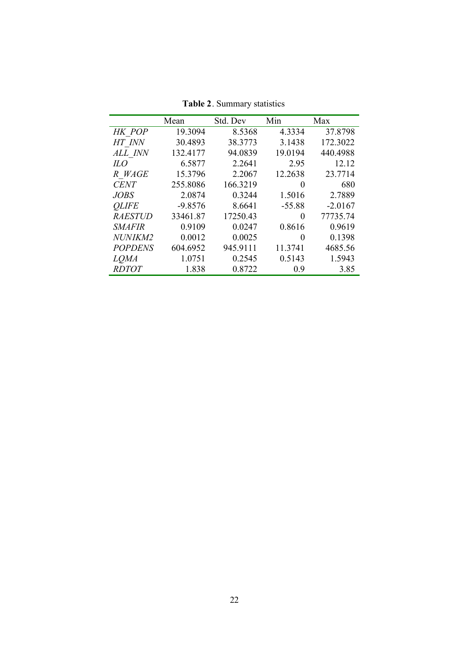|                | Mean      | Std. Dev | Min      | Max       |
|----------------|-----------|----------|----------|-----------|
| HK POP         | 19.3094   | 8.5368   | 4.3334   | 37.8798   |
| HT INN         | 30.4893   | 38.3773  | 3.1438   | 172.3022  |
| ALL INN        | 132.4177  | 94.0839  | 19.0194  | 440.4988  |
| $_{HO}$        | 6.5877    | 2.2641   | 2.95     | 12.12     |
| R WAGE         | 15.3796   | 2.2067   | 12.2638  | 23.7714   |
| <b>CENT</b>    | 255.8086  | 166.3219 | $\theta$ | 680       |
| JOBS           | 2.0874    | 0.3244   | 1.5016   | 2.7889    |
| <b>OLIFE</b>   | $-9.8576$ | 8.6641   | $-55.88$ | $-2.0167$ |
| <i>RAESTUD</i> | 33461.87  | 17250.43 | $\theta$ | 77735.74  |
| <i>SMAFIR</i>  | 0.9109    | 0.0247   | 0.8616   | 0.9619    |
| NUNIKM2        | 0.0012    | 0.0025   | $\theta$ | 0.1398    |
| <b>POPDENS</b> | 604.6952  | 945.9111 | 11.3741  | 4685.56   |
| <i>LOMA</i>    | 1.0751    | 0.2545   | 0.5143   | 1.5943    |
| <i>RDTOT</i>   | 1.838     | 0.8722   | 0.9      | 3.85      |

**Table 2**. Summary statistics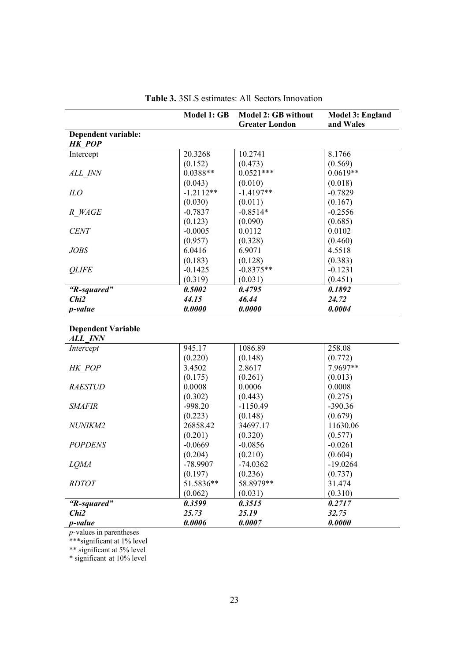|                                             | Model 1: GB | Model 2: GB without<br><b>Greater London</b> | Model 3: England<br>and Wales |
|---------------------------------------------|-------------|----------------------------------------------|-------------------------------|
| Dependent variable:<br><b>HK POP</b>        |             |                                              |                               |
| Intercept                                   | 20.3268     | 10.2741                                      | 8.1766                        |
|                                             | (0.152)     | (0.473)                                      | (0.569)                       |
| ALL INN                                     | $0.0388**$  | $0.0521***$                                  | $0.0619**$                    |
|                                             | (0.043)     | (0.010)                                      | (0.018)                       |
| ILO                                         | $-1.2112**$ | $-1.4197**$                                  | $-0.7829$                     |
|                                             | (0.030)     | (0.011)                                      | (0.167)                       |
| R WAGE                                      | $-0.7837$   | $-0.8514*$                                   | $-0.2556$                     |
|                                             | (0.123)     | (0.090)                                      | (0.685)                       |
| <b>CENT</b>                                 | $-0.0005$   | 0.0112                                       | 0.0102                        |
|                                             | (0.957)     | (0.328)                                      | (0.460)                       |
| <b>JOBS</b>                                 | 6.0416      | 6.9071                                       | 4.5518                        |
|                                             | (0.183)     | (0.128)                                      | (0.383)                       |
| <b>OLIFE</b>                                | $-0.1425$   | $-0.8375**$                                  | $-0.1231$                     |
|                                             | (0.319)     | (0.031)                                      | (0.451)                       |
| "R-squared"                                 | 0.5002      | 0.4795                                       | 0.1892                        |
| Chi2                                        | 44.15       | 46.44                                        | 24.72                         |
| <i>p</i> -value                             | 0.0000      | 0.0000                                       | 0.0004                        |
| <b>Dependent Variable</b><br><b>ALL INN</b> |             |                                              |                               |
| Intercept                                   | 945.17      | 1086.89                                      | 258.08                        |
|                                             | (0.220)     | (0.148)                                      | (0.772)                       |
| HK POP                                      | 3.4502      | 2.8617                                       | 7.9697**                      |
|                                             | (0.175)     | (0.261)                                      | (0.013)                       |
| <b>RAESTUD</b>                              | 0.0008      | 0.0006                                       | 0.0008                        |
|                                             | (0.302)     | (0.443)                                      | (0.275)                       |
| <b>SMAFIR</b>                               | $-998.20$   | $-1150.49$                                   | $-390.36$                     |
|                                             | (0.223)     | (0.148)                                      | (0.679)                       |
| <b>NUNIKM2</b>                              | 26858.42    | 34697.17                                     | 11630.06                      |
|                                             | (0.201)     | (0.320)                                      | (0.577)                       |

| Table 3. 3SLS estimates: All Sectors Innovation |  |
|-------------------------------------------------|--|
|-------------------------------------------------|--|

*p-value 0.0006 0.0007 0.0000 p*-values in parentheses

\*\*\*significant at 1% level

*POPDENS* -0.0669

*LQMA* -78.9907

*RDTOT* 51.5836\*\*

 $(0.204)$ 

(0.197)

(0.062)

*"R-squared" 0.3599 0.3515 0.2717 Chi2 25.73 25.19 32.75*

\*\* significant at 5% level

\* significant at 10% level

-0.0856 (0.210)

-74.0362 (0.236)

58.8979\*\* (0.031)

-0.0261  $(0.604)$ 

-19.0264 (0.737)

31.474 (0.310)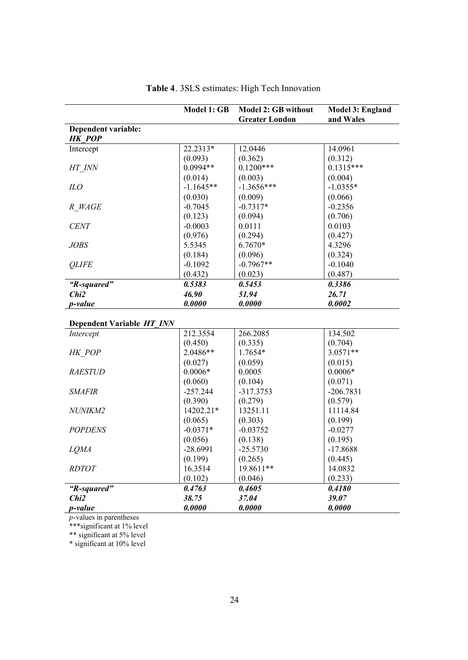|                     | <b>Model 1: GB</b> | <b>Model 2: GB without</b> | <b>Model 3: England</b> |
|---------------------|--------------------|----------------------------|-------------------------|
|                     |                    | <b>Greater London</b>      | and Wales               |
| Dependent variable: |                    |                            |                         |
| <b>HK POP</b>       |                    |                            |                         |
| Intercept           | 22.2313*           | 12.0446                    | 14.0961                 |
|                     | (0.093)            | (0.362)                    | (0.312)                 |
| HT INN              | $0.0994**$         | $0.1200***$                | $0.1315***$             |
|                     | (0.014)            | (0.003)                    | (0.004)                 |
| ILO                 | $-1.1645**$        | $-1.3656***$               | $-1.0355*$              |
|                     | (0.030)            | (0.009)                    | (0.066)                 |
| R WAGE              | $-0.7045$          | $-0.7317*$                 | $-0.2356$               |
|                     | (0.123)            | (0.094)                    | (0.706)                 |
| <b>CENT</b>         | $-0.0003$          | 0.0111                     | 0.0103                  |
|                     | (0.976)            | (0.294)                    | (0.427)                 |
| JOBS                | 5.5345             | 6.7670*                    | 4.3296                  |
|                     | (0.184)            | (0.096)                    | (0.324)                 |
| <b>OLIFE</b>        | $-0.1092$          | $-0.7967**$                | $-0.1040$               |
|                     | (0.432)            | (0.023)                    | (0.487)                 |
| "R-squared"         | 0.5383             | 0.5453                     | 0.3386                  |
| Chi <sub>2</sub>    | 46.90              | 51.94                      | 26.71                   |
| <i>p</i> -value     | 0.0000             | 0.0000                     | 0.0002                  |

|  |  | Table 4. 3SLS estimates: High Tech Innovation |  |  |  |  |
|--|--|-----------------------------------------------|--|--|--|--|
|--|--|-----------------------------------------------|--|--|--|--|

## **Dependent Variable** *HT\_INN*

| <i>p</i> -value  | 0.0000     | 0.0000      | 0.0000      |
|------------------|------------|-------------|-------------|
| Chi <sub>2</sub> | 38.75      | 37.04       | 39.07       |
| "R-squared"      | 0.4763     | 0.4605      | 0.4180      |
|                  | (0.102)    | (0.046)     | (0.233)     |
| <i>RDTOT</i>     | 16.3514    | 19.8611**   | 14.0832     |
|                  | (0.199)    | (0.265)     | (0.445)     |
| <b>LOMA</b>      | $-28.6991$ | $-25.5730$  | $-17.8688$  |
|                  | (0.056)    | (0.138)     | (0.195)     |
| <b>POPDENS</b>   | $-0.0371*$ | $-0.03752$  | $-0.0277$   |
|                  | (0.065)    | (0.303)     | (0.199)     |
| <i>NUNIKM2</i>   | 14202.21*  | 13251.11    | 11114.84    |
|                  | (0.390)    | (0.279)     | (0.579)     |
| <i>SMAFIR</i>    | $-257.244$ | $-317.3753$ | $-206.7831$ |
|                  | (0.060)    | (0.104)     | (0.071)     |
| <b>RAESTUD</b>   | $0.0006*$  | 0.0005      | $0.0006*$   |
|                  | (0.027)    | (0.059)     | (0.015)     |
| HK POP           | 2.0486**   | 1.7654*     | $3.0571**$  |
|                  | (0.450)    | (0.335)     | (0.704)     |
| Intercept        | 212.3554   | 266.2085    | 134.502     |

*p*-values in parentheses

\*\*\*significant at 1% level

\*\* significant at 5% level

\* significant at 10% level